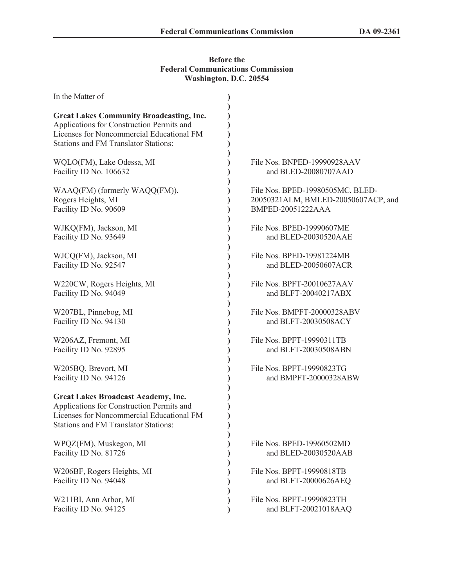## **Before the Federal Communications Commission Washington, D.C. 20554**

| In the Matter of                                                                                                                                                                         |                                     |
|------------------------------------------------------------------------------------------------------------------------------------------------------------------------------------------|-------------------------------------|
| <b>Great Lakes Community Broadcasting, Inc.</b><br>Applications for Construction Permits and<br>Licenses for Noncommercial Educational FM<br><b>Stations and FM Translator Stations:</b> |                                     |
| WQLO(FM), Lake Odessa, MI                                                                                                                                                                | File Nos. BNPED-19990928AAV         |
| Facility ID No. 106632                                                                                                                                                                   | and BLED-20080707AAD                |
| WAAQ(FM) (formerly WAQQ(FM)),                                                                                                                                                            | File Nos. BPED-19980505MC, BLED-    |
| Rogers Heights, MI                                                                                                                                                                       | 20050321ALM, BMLED-20050607ACP, and |
| Facility ID No. 90609                                                                                                                                                                    | BMPED-20051222AAA                   |
| WJKQ(FM), Jackson, MI                                                                                                                                                                    | File Nos. BPED-19990607ME           |
| Facility ID No. 93649                                                                                                                                                                    | and BLED-20030520AAE                |
| WJCQ(FM), Jackson, MI                                                                                                                                                                    | File Nos. BPED-19981224MB           |
| Facility ID No. 92547                                                                                                                                                                    | and BLED-20050607ACR                |
| W220CW, Rogers Heights, MI                                                                                                                                                               | File Nos. BPFT-20010627AAV          |
| Facility ID No. 94049                                                                                                                                                                    | and BLFT-20040217ABX                |
| W207BL, Pinnebog, MI                                                                                                                                                                     | File Nos. BMPFT-20000328ABV         |
| Facility ID No. 94130                                                                                                                                                                    | and BLFT-20030508ACY                |
| W206AZ, Fremont, MI                                                                                                                                                                      | File Nos. BPFT-19990311TB           |
| Facility ID No. 92895                                                                                                                                                                    | and BLFT-20030508ABN                |
| W205BQ, Brevort, MI                                                                                                                                                                      | File Nos. BPFT-19990823TG           |
| Facility ID No. 94126                                                                                                                                                                    | and BMPFT-20000328ABW               |
| <b>Great Lakes Broadcast Academy, Inc.</b><br>Applications for Construction Permits and<br>Licenses for Noncommercial Educational FM<br><b>Stations and FM Translator Stations:</b>      |                                     |
| WPQZ(FM), Muskegon, MI                                                                                                                                                                   | File Nos. BPED-19960502MD           |
| Facility ID No. 81726                                                                                                                                                                    | and BLED-20030520AAB                |
| W206BF, Rogers Heights, MI                                                                                                                                                               | File Nos. BPFT-19990818TB           |
| Facility ID No. 94048                                                                                                                                                                    | and BLFT-20000626AEQ                |
| W211BI, Ann Arbor, MI                                                                                                                                                                    | File Nos. BPFT-19990823TH           |
| Facility ID No. 94125                                                                                                                                                                    | and BLFT-20021018AAQ                |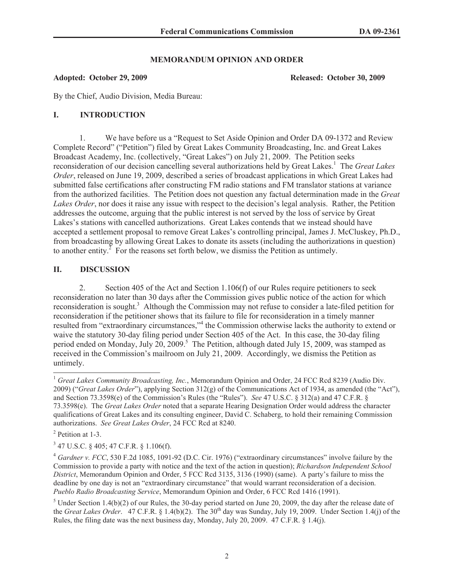## **MEMORANDUM OPINION AND ORDER**

### **Adopted: October 29, 2009 Released: October 30, 2009**

By the Chief, Audio Division, Media Bureau:

# **I. INTRODUCTION**

1. We have before us a "Request to Set Aside Opinion and Order DA 09-1372 and Review Complete Record" ("Petition") filed by Great Lakes Community Broadcasting, Inc. and Great Lakes Broadcast Academy, Inc. (collectively, "Great Lakes") on July 21, 2009. The Petition seeks reconsideration of our decision cancelling several authorizations held by Great Lakes.<sup>1</sup> The *Great Lakes Order*, released on June 19, 2009, described a series of broadcast applications in which Great Lakes had submitted false certifications after constructing FM radio stations and FM translator stations at variance from the authorized facilities. The Petition does not question any factual determination made in the *Great Lakes Order*, nor does it raise any issue with respect to the decision's legal analysis. Rather, the Petition addresses the outcome, arguing that the public interest is not served by the loss of service by Great Lakes's stations with cancelled authorizations. Great Lakes contends that we instead should have accepted a settlement proposal to remove Great Lakes's controlling principal, James J. McCluskey, Ph.D., from broadcasting by allowing Great Lakes to donate its assets (including the authorizations in question) to another entity.<sup> $\overline{2}$ </sup> For the reasons set forth below, we dismiss the Petition as untimely.

# **II. DISCUSSION**

2. Section 405 of the Act and Section 1.106(f) of our Rules require petitioners to seek reconsideration no later than 30 days after the Commission gives public notice of the action for which reconsideration is sought.<sup>3</sup> Although the Commission may not refuse to consider a late-filed petition for reconsideration if the petitioner shows that its failure to file for reconsideration in a timely manner resulted from "extraordinary circumstances,"<sup>4</sup> the Commission otherwise lacks the authority to extend or waive the statutory 30-day filing period under Section 405 of the Act. In this case, the 30-day filing period ended on Monday, July 20, 2009.<sup>5</sup> The Petition, although dated July 15, 2009, was stamped as received in the Commission's mailroom on July 21, 2009. Accordingly, we dismiss the Petition as untimely.

<sup>&</sup>lt;sup>1</sup> Great Lakes Community Broadcasting, Inc., Memorandum Opinion and Order, 24 FCC Rcd 8239 (Audio Div. 2009) ("*Great Lakes Order*"), applying Section 312(g) of the Communications Act of 1934, as amended (the "Act"), and Section 73.3598(e) of the Commission's Rules (the "Rules"). *See* 47 U.S.C. § 312(a) and 47 C.F.R. § 73.3598(e). The *Great Lakes Order* noted that a separate Hearing Designation Order would address the character qualifications of Great Lakes and its consulting engineer, David C. Schaberg, to hold their remaining Commission authorizations. *See Great Lakes Order*, 24 FCC Rcd at 8240.

<sup>&</sup>lt;sup>2</sup> Petition at 1-3.

<sup>3</sup> 47 U.S.C. § 405; 47 C.F.R. § 1.106(f).

<sup>4</sup> *Gardner v. FCC*, 530 F.2d 1085, 1091-92 (D.C. Cir. 1976) ("extraordinary circumstances" involve failure by the Commission to provide a party with notice and the text of the action in question); *Richardson Independent School District*, Memorandum Opinion and Order, 5 FCC Rcd 3135, 3136 (1990) (same). A party's failure to miss the deadline by one day is not an "extraordinary circumstance" that would warrant reconsideration of a decision. *Pueblo Radio Broadcasting Service*, Memorandum Opinion and Order, 6 FCC Rcd 1416 (1991).

 $5$  Under Section 1.4(b)(2) of our Rules, the 30-day period started on June 20, 2009, the day after the release date of the *Great Lakes Order*. 47 C.F.R. § 1.4(b)(2). The 30<sup>th</sup> day was Sunday, July 19, 2009. Under Section 1.4(j) of the Rules, the filing date was the next business day, Monday, July 20, 2009. 47 C.F.R. § 1.4(j).